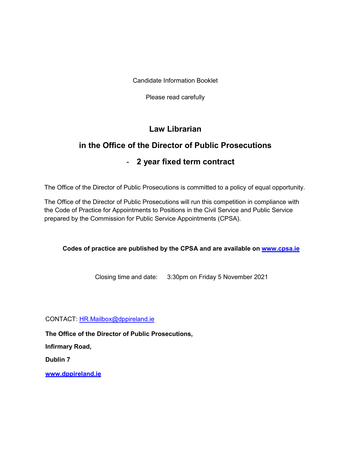Candidate Information Booklet

Please read carefully

# **Law Librarian**

# **in the Office of the Director of Public Prosecutions**

# - **2 year fixed term contract**

The Office of the Director of Public Prosecutions is committed to a policy of equal opportunity.

The Office of the Director of Public Prosecutions will run this competition in compliance with the Code of Practice for Appointments to Positions in the Civil Service and Public Service prepared by the Commission for Public Service Appointments (CPSA).

**Codes of practice are published by the CPSA and are available on [www.cpsa.ie](http://www.cpsa.ie/)**

Closing time and date: 3:30pm on Friday 5 November 2021

CONTACT: [HR.Mailbox@dppireland.ie](mailto:HR.Mailbox@dppireland.ie)

**The Office of the Director of Public Prosecutions,** 

**Infirmary Road,** 

**Dublin 7**

**[www.dppireland.ie](http://www.dppireland.ie/)**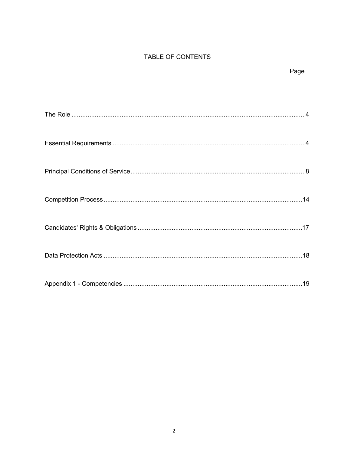# TABLE OF CONTENTS

# Page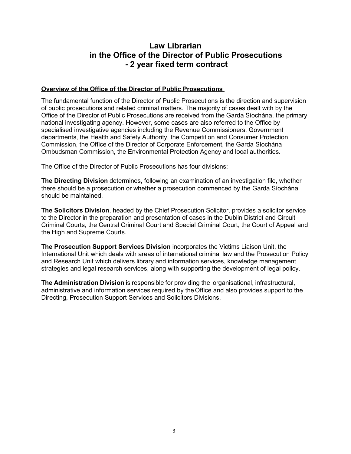# **Law Librarian in the Office of the Director of Public Prosecutions - 2 year fixed term contract**

#### **Overview of the Office of the Director of Public Prosecutions**

The fundamental function of the Director of Public Prosecutions is the direction and supervision of public prosecutions and related criminal matters. The majority of cases dealt with by the Office of the Director of Public Prosecutions are received from the Garda Síochána, the primary national investigating agency. However, some cases are also referred to the Office by specialised investigative agencies including the Revenue Commissioners, Government departments, the Health and Safety Authority, the Competition and Consumer Protection Commission, the Office of the Director of Corporate Enforcement, the Garda Síochána Ombudsman Commission, the Environmental Protection Agency and local authorities.

The Office of the Director of Public Prosecutions has four divisions:

**The Directing Division** determines, following an examination of an investigation file, whether there should be a prosecution or whether a prosecution commenced by the Garda Síochána should be maintained.

**The Solicitors Division**, headed by the Chief Prosecution Solicitor, provides a solicitor service to the Director in the preparation and presentation of cases in the Dublin District and Circuit Criminal Courts, the Central Criminal Court and Special Criminal Court, the Court of Appeal and the High and Supreme Courts.

**The Prosecution Support Services Division** incorporates the Victims Liaison Unit, the International Unit which deals with areas of international criminal law and the Prosecution Policy and Research Unit which delivers library and information services, knowledge management strategies and legal research services, along with supporting the development of legal policy.

**The Administration Division** is responsible for providing the organisational, infrastructural, administrative and information services required by theOffice and also provides support to the Directing, Prosecution Support Services and Solicitors Divisions.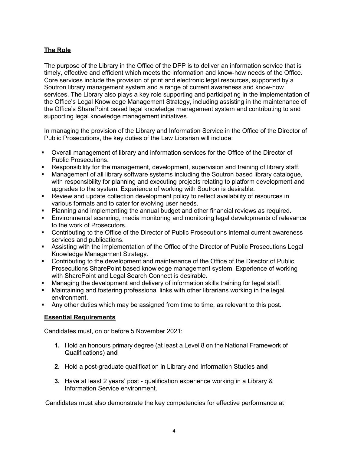# <span id="page-3-0"></span>**The Role**

The purpose of the Library in the Office of the DPP is to deliver an information service that is timely, effective and efficient which meets the information and know-how needs of the Office. Core services include the provision of print and electronic legal resources, supported by a Soutron library management system and a range of current awareness and know-how services. The Library also plays a key role supporting and participating in the implementation of the Office's Legal Knowledge Management Strategy, including assisting in the maintenance of the Office's SharePoint based legal knowledge management system and contributing to and supporting legal knowledge management initiatives.

In managing the provision of the Library and Information Service in the Office of the Director of Public Prosecutions, the key duties of the Law Librarian will include:

- Overall management of library and information services for the Office of the Director of Public Prosecutions.
- Responsibility for the management, development, supervision and training of library staff.
- Management of all library software systems including the Soutron based library catalogue, with responsibility for planning and executing projects relating to platform development and upgrades to the system. Experience of working with Soutron is desirable.
- Review and update collection development policy to reflect availability of resources in various formats and to cater for evolving user needs.
- Planning and implementing the annual budget and other financial reviews as required.
- Environmental scanning, media monitoring and monitoring legal developments of relevance to the work of Prosecutors.
- Contributing to the Office of the Director of Public Prosecutions internal current awareness services and publications.
- Assisting with the implementation of the Office of the Director of Public Prosecutions Legal Knowledge Management Strategy.
- Contributing to the development and maintenance of the Office of the Director of Public Prosecutions SharePoint based knowledge management system. Experience of working with SharePoint and Legal Search Connect is desirable.
- Managing the development and delivery of information skills training for legal staff.
- Maintaining and fostering professional links with other librarians working in the legal environment.
- Any other duties which may be assigned from time to time, as relevant to this post.

# <span id="page-3-1"></span>**Essential Requirements**

Candidates must, on or before 5 November 2021:

- **1.** Hold an honours primary degree (at least a Level 8 on the National Framework of Qualifications) **and**
- **2.** Hold a post-graduate qualification in Library and Information Studies **and**
- **3.** Have at least 2 years' post qualification experience working in a Library & Information Service environment.

Candidates must also demonstrate the key competencies for effective performance at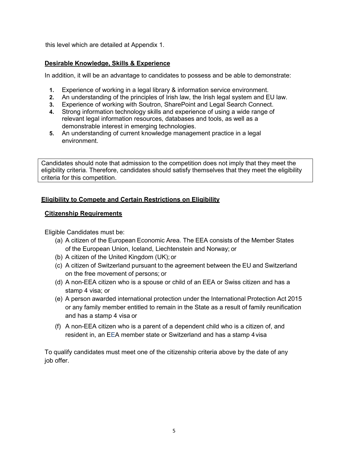this level which are detailed at Appendix 1.

## **Desirable Knowledge, Skills & Experience**

In addition, it will be an advantage to candidates to possess and be able to demonstrate:

- **1.** Experience of working in a legal library & information service environment.
- **2.** An understanding of the principles of Irish law, the Irish legal system and EU law.
- **3.** Experience of working with Soutron, SharePoint and Legal Search Connect.
- **4.** Strong information technology skills and experience of using a wide range of relevant legal information resources, databases and tools, as well as a demonstrable interest in emerging technologies.
- **5.** An understanding of current knowledge management practice in a legal environment.

Candidates should note that admission to the competition does not imply that they meet the eligibility criteria. Therefore, candidates should satisfy themselves that they meet the eligibility criteria for this competition.

# **Eligibility to Compete and Certain Restrictions on Eligibility**

## **Citizenship Requirements**

Eligible Candidates must be:

- (a) A citizen of the European Economic Area. The EEA consists of the Member States of the European Union, Iceland, Liechtenstein and Norway; or
- (b) A citizen of the United Kingdom (UK); or
- (c) A citizen of Switzerland pursuant to the agreement between the EU and Switzerland on the free movement of persons; or
- (d) A non-EEA citizen who is a spouse or child of an EEA or Swiss citizen and has a stamp 4 visa; or
- (e) A person awarded international protection under the International Protection Act 2015 or any family member entitled to remain in the State as a result of family reunification and has a stamp 4 visa or
- (f) A non-EEA citizen who is a parent of a dependent child who is a citizen of, and resident in, an EEA member state or Switzerland and has a stamp 4visa

To qualify candidates must meet one of the citizenship criteria above by the date of any job offer.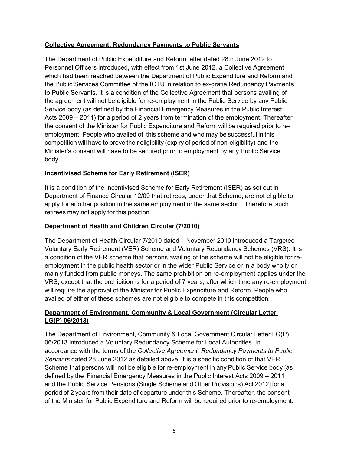# **Collective Agreement: Redundancy Payments to Public Servants**

The Department of Public Expenditure and Reform letter dated 28th June 2012 to Personnel Officers introduced, with effect from 1st June 2012, a Collective Agreement which had been reached between the Department of Public Expenditure and Reform and the Public Services Committee of the ICTU in relation to ex-gratia Redundancy Payments to Public Servants. It is a condition of the Collective Agreement that persons availing of the agreement will not be eligible for re-employment in the Public Service by any Public Service body (as defined by the Financial Emergency Measures in the Public Interest Acts 2009 – 2011) for a period of 2 years from termination of the employment. Thereafter the consent of the Minister for Public Expenditure and Reform will be required prior to reemployment. People who availed of this scheme and who may be successful in this competition will have to prove their eligibility (expiry of period of non-eligibility) and the Minister's consent will have to be secured prior to employment by any Public Service body.

## **Incentivised Scheme for Early Retirement (ISER)**

It is a condition of the Incentivised Scheme for Early Retirement (ISER) as set out in Department of Finance Circular 12/09 that retirees, under that Scheme, are not eligible to apply for another position in the same employment or the same sector. Therefore, such retirees may not apply for this position.

## **Department of Health and Children Circular (7/2010)**

The Department of Health Circular 7/2010 dated 1 November 2010 introduced a Targeted Voluntary Early Retirement (VER) Scheme and Voluntary Redundancy Schemes (VRS). It is a condition of the VER scheme that persons availing of the scheme will not be eligible for reemployment in the public health sector or in the wider Public Service or in a body wholly or mainly funded from public moneys. The same prohibition on re-employment applies under the VRS, except that the prohibition is for a period of 7 years, after which time any re-employment will require the approval of the Minister for Public Expenditure and Reform. People who availed of either of these schemes are not eligible to compete in this competition*.*

# **Department of Environment, Community & Local Government (Circular Letter LG(P) 06/2013)**

The Department of Environment, Community & Local Government Circular Letter LG(P) 06/2013 introduced a Voluntary Redundancy Scheme for Local Authorities. In accordance with the terms of the *Collective Agreement: Redundancy Payments to Public Servants* dated 28 June 2012 as detailed above, it is a specific condition of that VER Scheme that persons will not be eligible for re-employment in any Public Service body [as defined by the Financial Emergency Measures in the Public Interest Acts 2009 – 2011 and the Public Service Pensions (Single Scheme and Other Provisions) Act 2012] for a period of 2 years from their date of departure under this Scheme. Thereafter, the consent of the Minister for Public Expenditure and Reform will be required prior to re-employment.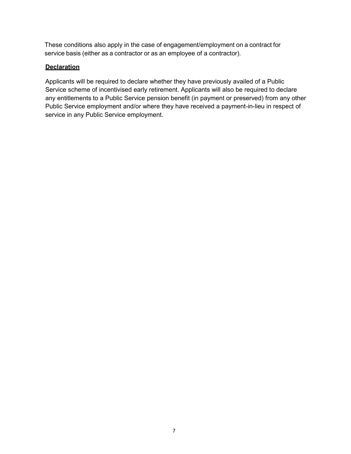These conditions also apply in the case of engagement/employment on a contract for service basis (either as a contractor or as an employee of a contractor).

## **Declaration**

Applicants will be required to declare whether they have previously availed of a Public Service scheme of incentivised early retirement. Applicants will also be required to declare any entitlements to a Public Service pension benefit (in payment or preserved) from any other Public Service employment and/or where they have received a payment-in-lieu in respect of service in any Public Service employment.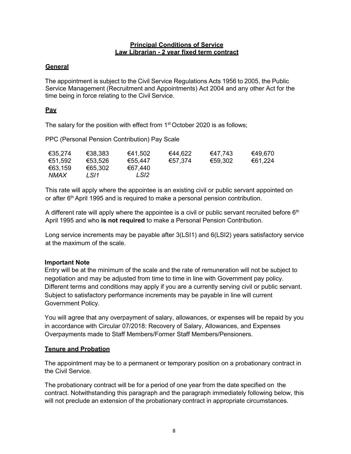#### **Principal Conditions of Service Law Librarian - 2 year fixed term contract**

# <span id="page-7-0"></span>**General**

The appointment is subject to the Civil Service Regulations Acts 1956 to 2005, the Public Service Management (Recruitment and Appointments) Act 2004 and any other Act for the time being in force relating to the Civil Service.

# **Pay**

The salary for the position with effect from  $1<sup>st</sup>$  October 2020 is as follows;

PPC (Personal Pension Contribution) Pay Scale

| €35,274 | €38,383 | €41,502 | €44,622 | €47.743 | €49,670 |
|---------|---------|---------|---------|---------|---------|
| €51.592 | €53,526 | €55,447 | €57,374 | €59,302 | €61,224 |
| €63,159 | €65,302 | €67.440 |         |         |         |
| NMAX    | LSI1    | LSI2    |         |         |         |

This rate will apply where the appointee is an existing civil or public servant appointed on or after 6<sup>th</sup> April 1995 and is required to make a personal pension contribution.

A different rate will apply where the appointee is a civil or public servant recruited before  $6<sup>th</sup>$ April 1995 and who **is not required** to make a Personal Pension Contribution.

Long service increments may be payable after 3(LSI1) and 6(LSI2) years satisfactory service at the maximum of the scale.

# **Important Note**

Entry will be at the minimum of the scale and the rate of remuneration will not be subject to negotiation and may be adjusted from time to time in line with Government pay policy. Different terms and conditions may apply if you are a currently serving civil or public servant. Subject to satisfactory performance increments may be payable in line will current Government Policy.

You will agree that any overpayment of salary, allowances, or expenses will be repaid by you in accordance with Circular 07/2018: Recovery of Salary, Allowances, and Expenses Overpayments made to Staff Members/Former Staff Members/Pensioners.

## **Tenure and Probation**

The appointment may be to a permanent or temporary position on a probationary contract in the Civil Service.

The probationary contract will be for a period of one year from the date specified on the contract. Notwithstanding this paragraph and the paragraph immediately following below, this will not preclude an extension of the probationary contract in appropriate circumstances.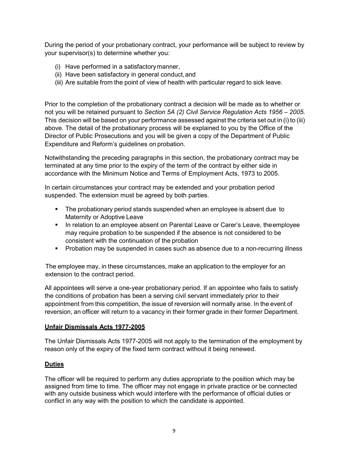During the period of your probationary contract, your performance will be subject to review by your supervisor(s) to determine whether you:

- (i) Have performed in a satisfactorymanner,
- (ii) Have been satisfactory in general conduct, and
- (iii) Are suitable from the point of view of health with particular regard to sick leave.

Prior to the completion of the probationary contract a decision will be made as to whether or not you will be retained pursuant to *Section 5A (2) Civil Service Regulation Acts 1956 – 2005*. This decision will be based on your performance assessed against the criteria set out in (i) to (iii) above. The detail of the probationary process will be explained to you by the Office of the Director of Public Prosecutions and you will be given a copy of the Department of Public Expenditure and Reform's guidelines on probation.

Notwithstanding the preceding paragraphs in this section, the probationary contract may be terminated at any time prior to the expiry of the term of the contract by either side in accordance with the Minimum Notice and Terms of Employment Acts, 1973 to 2005.

In certain circumstances your contract may be extended and your probation period suspended. The extension must be agreed by both parties.

- **The probationary period stands suspended when an employee is absent due to** Maternity or Adoptive Leave
- In relation to an employee absent on Parental Leave or Carer's Leave, theemployee may require probation to be suspended if the absence is not considered to be consistent with the continuation of the probation
- Probation may be suspended in cases such as absence due to a non-recurring illness

The employee may, in these circumstances, make an application to the employer for an extension to the contract period.

All appointees will serve a one-year probationary period. If an appointee who fails to satisfy the conditions of probation has been a serving civil servant immediately prior to their appointment from this competition, the issue of reversion will normally arise. In the event of reversion, an officer will return to a vacancy in their former grade in their former Department.

## **Unfair Dismissals Acts 1977-2005**

The Unfair Dismissals Acts 1977-2005 will not apply to the termination of the employment by reason only of the expiry of the fixed term contract without it being renewed.

## **Duties**

The officer will be required to perform any duties appropriate to the position which may be assigned from time to time. The officer may not engage in private practice or be connected with any outside business which would interfere with the performance of official duties or conflict in any way with the position to which the candidate is appointed.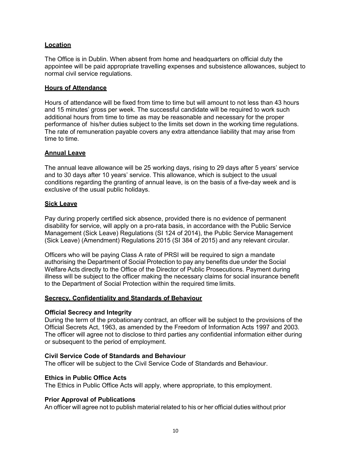## **Location**

The Office is in Dublin. When absent from home and headquarters on official duty the appointee will be paid appropriate travelling expenses and subsistence allowances, subject to normal civil service regulations.

## **Hours of Attendance**

Hours of attendance will be fixed from time to time but will amount to not less than 43 hours and 15 minutes' gross per week. The successful candidate will be required to work such additional hours from time to time as may be reasonable and necessary for the proper performance of his/her duties subject to the limits set down in the working time regulations. The rate of remuneration payable covers any extra attendance liability that may arise from time to time.

## **Annual Leave**

The annual leave allowance will be 25 working days, rising to 29 days after 5 years' service and to 30 days after 10 years' service. This allowance, which is subject to the usual conditions regarding the granting of annual leave, is on the basis of a five-day week and is exclusive of the usual public holidays.

#### **Sick Leave**

Pay during properly certified sick absence, provided there is no evidence of permanent disability for service, will apply on a pro-rata basis, in accordance with the Public Service Management (Sick Leave) Regulations (SI 124 of 2014), the Public Service Management (Sick Leave) (Amendment) Regulations 2015 (SI 384 of 2015) and any relevant circular.

Officers who will be paying Class A rate of PRSI will be required to sign a mandate authorising the Department of Social Protection to pay any benefits due under the Social Welfare Acts directly to the Office of the Director of Public Prosecutions. Payment during illness will be subject to the officer making the necessary claims for social insurance benefit to the Department of Social Protection within the required time limits.

## **Secrecy, Confidentiality and Standards of Behaviour**

## **Official Secrecy and Integrity**

During the term of the probationary contract, an officer will be subject to the provisions of the Official Secrets Act, 1963, as amended by the Freedom of Information Acts 1997 and 2003. The officer will agree not to disclose to third parties any confidential information either during or subsequent to the period of employment.

## **Civil Service Code of Standards and Behaviour**

The officer will be subject to the Civil Service Code of Standards and Behaviour.

#### **Ethics in Public Office Acts**

The Ethics in Public Office Acts will apply, where appropriate, to this employment.

#### **Prior Approval of Publications**

An officer will agree not to publish material related to his or her official duties without prior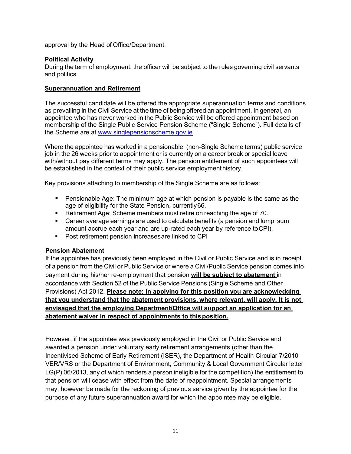approval by the Head of Office/Department.

## **Political Activity**

During the term of employment, the officer will be subject to the rules governing civil servants and politics.

## **Superannuation and Retirement**

The successful candidate will be offered the appropriate superannuation terms and conditions as prevailing in the Civil Service at the time of being offered an appointment. In general, an appointee who has never worked in the Public Service will be offered appointment based on membership of the Single Public Service Pension Scheme ("Single Scheme"). Full details of the Scheme are at [www.singlepensionscheme.gov.ie](http://www.singlepensionscheme.gov.ie/)

Where the appointee has worked in a pensionable (non-Single Scheme terms) public service job in the 26 weeks prior to appointment or is currently on a career break or special leave with/without pay different terms may apply. The pension entitlement of such appointees will be established in the context of their public service employmenthistory.

Key provisions attaching to membership of the Single Scheme are as follows:

- Pensionable Age: The minimum age at which pension is payable is the same as the age of eligibility for the State Pension, currently66.
- Retirement Age: Scheme members must retire on reaching the age of 70.
- **Career average earnings are used to calculate benefits (a pension and lump sum** amount accrue each year and are up-rated each year by reference toCPI).
- **Post retirement pension increases are linked to CPI**

## **Pension Abatement**

If the appointee has previously been employed in the Civil or Public Service and is in receipt of a pension from the Civil or Public Service or where a Civil/Public Service pension comes into payment during his/her re-employment that pension **will be subject to abatement** in accordance with Section 52 of the Public Service Pensions (Single Scheme and Other Provisions) Act 2012. **Please note: In applying for this position you are acknowledging that you understand that the abatement provisions, where relevant, will apply. It is not envisaged that the employing Department/Office will support an application for an abatement waiver in respect of appointments to thisposition.**

However, if the appointee was previously employed in the Civil or Public Service and awarded a pension under voluntary early retirement arrangements (other than the Incentivised Scheme of Early Retirement (ISER), the Department of Health Circular 7/2010 VER/VRS or the Department of Environment, Community & Local Government Circular letter LG(P) 06/2013, any of which renders a person ineligible for the competition) the entitlement to that pension will cease with effect from the date of reappointment. Special arrangements may, however be made for the reckoning of previous service given by the appointee for the purpose of any future superannuation award for which the appointee may be eligible.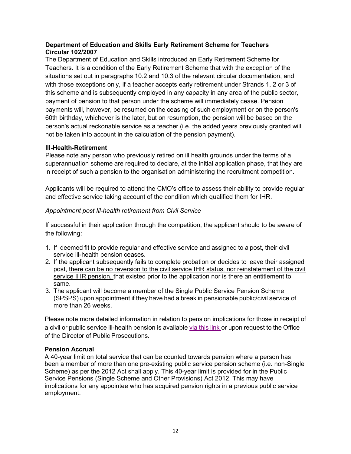## **Department of Education and Skills Early Retirement Scheme for Teachers Circular 102/2007**

The Department of Education and Skills introduced an Early Retirement Scheme for Teachers. It is a condition of the Early Retirement Scheme that with the exception of the situations set out in paragraphs 10.2 and 10.3 of the relevant circular documentation, and with those exceptions only, if a teacher accepts early retirement under Strands 1, 2 or 3 of this scheme and is subsequently employed in any capacity in any area of the public sector, payment of pension to that person under the scheme will immediately cease. Pension payments will, however, be resumed on the ceasing of such employment or on the person's 60th birthday, whichever is the later, but on resumption, the pension will be based on the person's actual reckonable service as a teacher (i.e. the added years previously granted will not be taken into account in the calculation of the pension payment).

## **Ill-Health-Retirement**

Please note any person who previously retired on ill health grounds under the terms of a superannuation scheme are required to declare, at the initial application phase, that they are in receipt of such a pension to the organisation administering the recruitment competition.

Applicants will be required to attend the CMO's office to assess their ability to provide regular and effective service taking account of the condition which qualified them for IHR.

## *Appointment post Ill-health retirement from Civil Service*

If successful in their application through the competition, the applicant should to be aware of the following:

- 1. If deemed fit to provide regular and effective service and assigned to a post, their civil service ill-health pension ceases.
- 2. If the applicant subsequently fails to complete probation or decides to leave their assigned post, there can be no reversion to the civil service IHR status, nor reinstatement of the civil service IHR pension, that existed prior to the application nor is there an entitlement to same.
- 3. The applicant will become a member of the Single Public Service Pension Scheme (SPSPS) upon appointment if they have had a break in pensionable public/civil service of more than 26 weeks.

Please note more detailed information in relation to pension implications for those in receipt of a civil or public service ill-health pension is available via [this](https://hr.per.gov.ie/wp-content/uploads/2020/06/Ill-Health-Retirement-linked-document.pdf) link or upon request to the Office of the Director of Public Prosecutions.

## **Pension Accrual**

A 40-year limit on total service that can be counted towards pension where a person has been a member of more than one pre-existing public service pension scheme (i.e. non-Single Scheme) as per the 2012 Act shall apply. This 40-year limit is provided for in the Public Service Pensions (Single Scheme and Other Provisions) Act 2012. This may have implications for any appointee who has acquired pension rights in a previous public service employment.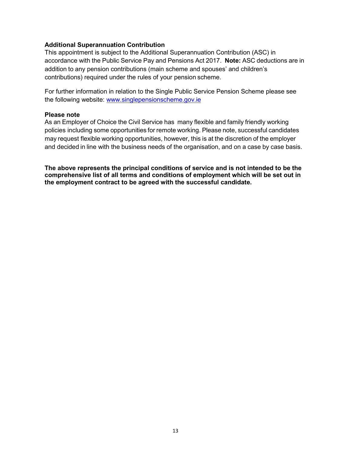## **Additional Superannuation Contribution**

This appointment is subject to the Additional Superannuation Contribution (ASC) in accordance with the Public Service Pay and Pensions Act 2017. **Note:** ASC deductions are in addition to any pension contributions (main scheme and spouses' and children's contributions) required under the rules of your pension scheme.

For further information in relation to the Single Public Service Pension Scheme please see the following website: [www.singlepensionscheme.gov.ie](http://www.singlepensionscheme.gov.ie/)

#### **Please note**

As an Employer of Choice the Civil Service has many flexible and family friendly working policies including some opportunities for remote working. Please note, successful candidates may request flexible working opportunities, however, this is at the discretion of the employer and decided in line with the business needs of the organisation, and on a case by case basis.

**The above represents the principal conditions of service and is not intended to be the comprehensive list of all terms and conditions of employment which will be set out in the employment contract to be agreed with the successful candidate.**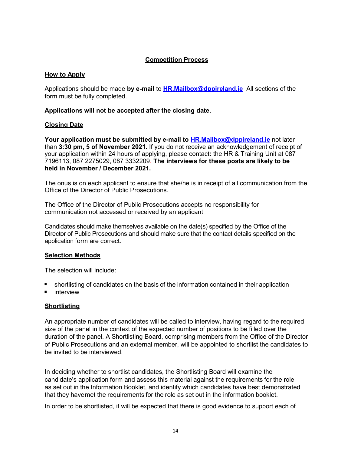## **Competition Process**

## <span id="page-13-0"></span>**How to Apply**

Applications should be made **by e-mail** to **HR.Mailbox@dppireland.ie** All sections of the form must be fully completed.

**Applications will not be accepted after the closing date.** 

## **Closing Date**

**Your application must be submitted by e-mail to [HR.Mailbox@dppireland.ie](mailto:HR.Mailbox@dppireland.ie)** not later than **3:30 pm, 5 of November 2021.** If you do not receive an acknowledgement of receipt of your application within 24 hours of applying, please contact**:** the HR & Training Unit at 087 7196113, 087 2275029, 087 3332209. **The interviews for these posts are likely to be held in November / December 2021.**

The onus is on each applicant to ensure that she/he is in receipt of all communication from the Office of the Director of Public Prosecutions.

The Office of the Director of Public Prosecutions accepts no responsibility for communication not accessed or received by an applicant

Candidates should make themselves available on the date(s) specified by the Office of the Director of Public Prosecutions and should make sure that the contact details specified on the application form are correct.

## **Selection Methods**

The selection will include:

- shortlisting of candidates on the basis of the information contained in their application
- interview

## **Shortlisting**

An appropriate number of candidates will be called to interview, having regard to the required size of the panel in the context of the expected number of positions to be filled over the duration of the panel. A Shortlisting Board, comprising members from the Office of the Director of Public Prosecutions and an external member, will be appointed to shortlist the candidates to be invited to be interviewed.

In deciding whether to shortlist candidates, the Shortlisting Board will examine the candidate's application form and assess this material against the requirements for the role as set out in the Information Booklet, and identify which candidates have best demonstrated that they havemet the requirements for the role as set out in the information booklet.

In order to be shortlisted, it will be expected that there is good evidence to support each of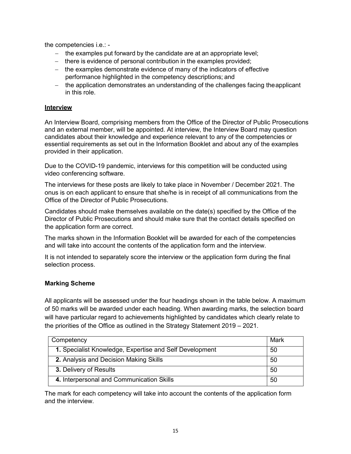the competencies i.e.: -

- − the examples put forward by the candidate are at an appropriate level;
- − there is evidence of personal contribution in the examples provided;
- − the examples demonstrate evidence of many of the indicators of effective performance highlighted in the competency descriptions; and
- − the application demonstrates an understanding of the challenges facing theapplicant in this role.

## **Interview**

An Interview Board, comprising members from the Office of the Director of Public Prosecutions and an external member, will be appointed. At interview, the Interview Board may question candidates about their knowledge and experience relevant to any of the competencies or essential requirements as set out in the Information Booklet and about any of the examples provided in their application.

Due to the COVID-19 pandemic, interviews for this competition will be conducted using video conferencing software.

The interviews for these posts are likely to take place in November / December 2021. The onus is on each applicant to ensure that she/he is in receipt of all communications from the Office of the Director of Public Prosecutions.

Candidates should make themselves available on the date(s) specified by the Office of the Director of Public Prosecutions and should make sure that the contact details specified on the application form are correct.

The marks shown in the Information Booklet will be awarded for each of the competencies and will take into account the contents of the application form and the interview.

It is not intended to separately score the interview or the application form during the final selection process.

## **Marking Scheme**

All applicants will be assessed under the four headings shown in the table below. A maximum of 50 marks will be awarded under each heading. When awarding marks, the selection board will have particular regard to achievements highlighted by candidates which clearly relate to the priorities of the Office as outlined in the Strategy Statement 2019 – 2021.

| Competency                                              |    |  |
|---------------------------------------------------------|----|--|
| 1. Specialist Knowledge, Expertise and Self Development | 50 |  |
| 2. Analysis and Decision Making Skills                  | 50 |  |
| 3. Delivery of Results                                  | 50 |  |
| 4. Interpersonal and Communication Skills               | 50 |  |

The mark for each competency will take into account the contents of the application form and the interview.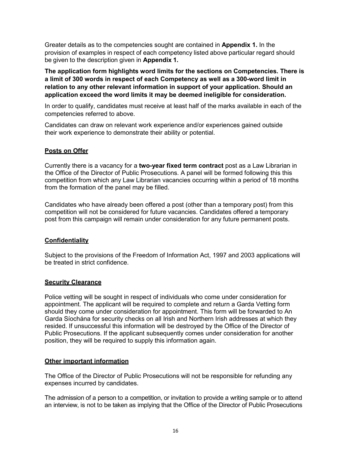Greater details as to the competencies sought are contained in **Appendix 1.** In the provision of examples in respect of each competency listed above particular regard should be given to the description given in **Appendix 1.**

**The application form highlights word limits for the sections on Competencies. There is a limit of 300 words in respect of each Competency as well as a 300-word limit in relation to any other relevant information in support of your application. Should an application exceed the word limits it may be deemed ineligible for consideration.**

In order to qualify, candidates must receive at least half of the marks available in each of the competencies referred to above.

Candidates can draw on relevant work experience and/or experiences gained outside their work experience to demonstrate their ability or potential.

## **Posts on Offer**

Currently there is a vacancy for a **two-year fixed term contract** post as a Law Librarian in the Office of the Director of Public Prosecutions. A panel will be formed following this this competition from which any Law Librarian vacancies occurring within a period of 18 months from the formation of the panel may be filled.

Candidates who have already been offered a post (other than a temporary post) from this competition will not be considered for future vacancies. Candidates offered a temporary post from this campaign will remain under consideration for any future permanent posts.

## **Confidentiality**

Subject to the provisions of the Freedom of Information Act, 1997 and 2003 applications will be treated in strict confidence.

#### **Security Clearance**

Police vetting will be sought in respect of individuals who come under consideration for appointment. The applicant will be required to complete and return a Garda Vetting form should they come under consideration for appointment. This form will be forwarded to An Garda Síochána for security checks on all Irish and Northern Irish addresses at which they resided. If unsuccessful this information will be destroyed by the Office of the Director of Public Prosecutions. If the applicant subsequently comes under consideration for another position, they will be required to supply this information again.

## **Other important information**

The Office of the Director of Public Prosecutions will not be responsible for refunding any expenses incurred by candidates.

The admission of a person to a competition, or invitation to provide a writing sample or to attend an interview, is not to be taken as implying that the Office of the Director of Public Prosecutions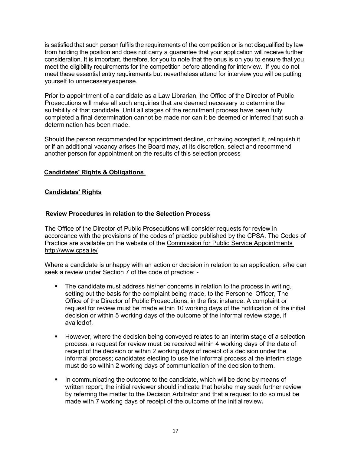is satisfied that such person fulfils the requirements of the competition or is not disqualified by law from holding the position and does not carry a guarantee that your application will receive further consideration. It is important, therefore, for you to note that the onus is on you to ensure that you meet the eligibility requirements for the competition before attending for interview. If you do not meet these essential entry requirements but nevertheless attend for interview you will be putting yourself to unnecessaryexpense.

Prior to appointment of a candidate as a Law Librarian, the Office of the Director of Public Prosecutions will make all such enquiries that are deemed necessary to determine the suitability of that candidate. Until all stages of the recruitment process have been fully completed a final determination cannot be made nor can it be deemed or inferred that such a determination has been made.

Should the person recommended for appointment decline, or having accepted it, relinquish it or if an additional vacancy arises the Board may, at its discretion, select and recommend another person for appointment on the results of this selection process

## <span id="page-16-0"></span>**Candidates' Rights & Obligations**

#### **Candidates' Rights**

#### **Review Procedures in relation to the Selection Process**

The Office of the Director of Public Prosecutions will consider requests for review in accordance with the provisions of the codes of practice published by the CPSA. The Codes of Practice are available on the website of the Commission for Public Service Appointments htt[p://www.cpsa.ie/](http://www.cpsa.ie/)

Where a candidate is unhappy with an action or decision in relation to an application, s/he can seek a review under Section 7 of the code of practice: -

- The candidate must address his/her concerns in relation to the process in writing, setting out the basis for the complaint being made, to the Personnel Officer, The Office of the Director of Public Prosecutions, in the first instance. A complaint or request for review must be made within 10 working days of the notification of the initial decision or within 5 working days of the outcome of the informal review stage, if availedof.
- **However, where the decision being conveyed relates to an interim stage of a selection** process, a request for review must be received within 4 working days of the date of receipt of the decision or within 2 working days of receipt of a decision under the informal process; candidates electing to use the informal process at the interim stage must do so within 2 working days of communication of the decision to them.
- In communicating the outcome to the candidate, which will be done by means of written report, the initial reviewer should indicate that he/she may seek further review by referring the matter to the Decision Arbitrator and that a request to do so must be made with 7 working days of receipt of the outcome of the initialreview**.**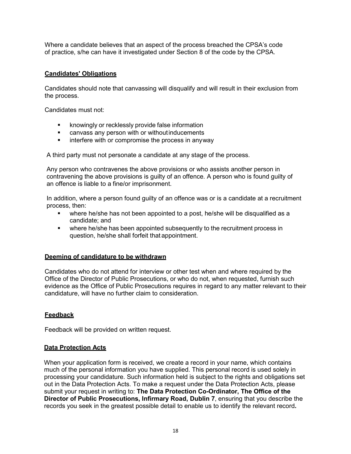Where a candidate believes that an aspect of the process breached the CPSA's code of practice, s/he can have it investigated under Section 8 of the code by the CPSA.

## **Candidates' Obligations**

Candidates should note that canvassing will disqualify and will result in their exclusion from the process.

Candidates must not:

- **EXED** knowingly or recklessly provide false information
- canvass any person with or withoutinducements
- **EXED** interfere with or compromise the process in anyway

A third party must not personate a candidate at any stage of the process.

Any person who contravenes the above provisions or who assists another person in contravening the above provisions is guilty of an offence. A person who is found guilty of an offence is liable to a fine/or imprisonment.

In addition, where a person found guilty of an offence was or is a candidate at a recruitment process, then:

- where he/she has not been appointed to a post, he/she will be disqualified as a candidate; and
- where he/she has been appointed subsequently to the recruitment process in question, he/she shall forfeit that appointment.

## **Deeming of candidature to be withdrawn**

Candidates who do not attend for interview or other test when and where required by the Office of the Director of Public Prosecutions, or who do not, when requested, furnish such evidence as the Office of Public Prosecutions requires in regard to any matter relevant to their candidature, will have no further claim to consideration.

## **Feedback**

Feedback will be provided on written request.

#### <span id="page-17-0"></span>**Data Protection Acts**

When your application form is received, we create a record in your name, which contains much of the personal information you have supplied. This personal record is used solely in processing your candidature. Such information held is subject to the rights and obligations set out in the Data Protection Acts. To make a request under the Data Protection Acts, please submit your request in writing to: **The Data Protection Co-Ordinator, The Office of the Director of Public Prosecutions, Infirmary Road, Dublin 7**, ensuring that you describe the records you seek in the greatest possible detail to enable us to identify the relevant record**.**